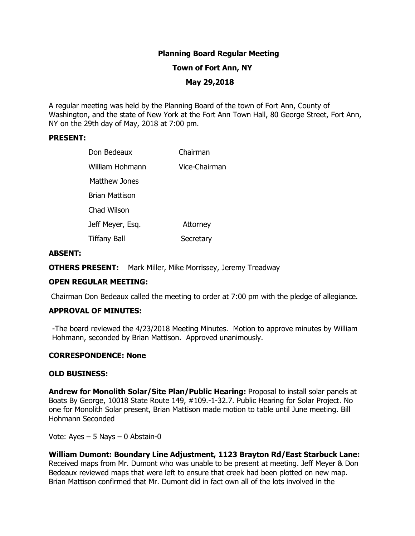# **Planning Board Regular Meeting**

### **Town of Fort Ann, NY**

### **May 29,2018**

A regular meeting was held by the Planning Board of the town of Fort Ann, County of Washington, and the state of New York at the Fort Ann Town Hall, 80 George Street, Fort Ann, NY on the 29th day of May, 2018 at 7:00 pm.

### **PRESENT:**

| Don Bedeaux           | Chairman      |
|-----------------------|---------------|
| William Hohmann       | Vice-Chairman |
| <b>Matthew Jones</b>  |               |
| <b>Brian Mattison</b> |               |
| Chad Wilson           |               |
| Jeff Meyer, Esq.      | Attorney      |
| <b>Tiffany Ball</b>   | Secretary     |

### **ABSENT:**

**OTHERS PRESENT:** Mark Miller, Mike Morrissey, Jeremy Treadway

## **OPEN REGULAR MEETING:**

Chairman Don Bedeaux called the meeting to order at 7:00 pm with the pledge of allegiance.

## **APPROVAL OF MINUTES:**

-The board reviewed the 4/23/2018 Meeting Minutes. Motion to approve minutes by William Hohmann, seconded by Brian Mattison. Approved unanimously.

#### **CORRESPONDENCE: None**

#### **OLD BUSINESS:**

**Andrew for Monolith Solar/Site Plan/Public Hearing:** Proposal to install solar panels at Boats By George, 10018 State Route 149, #109.-1-32.7. Public Hearing for Solar Project. No one for Monolith Solar present, Brian Mattison made motion to table until June meeting. Bill Hohmann Seconded

Vote: Ayes – 5 Nays – 0 Abstain-0

**William Dumont: Boundary Line Adjustment, 1123 Brayton Rd/East Starbuck Lane:**  Received maps from Mr. Dumont who was unable to be present at meeting. Jeff Meyer & Don Bedeaux reviewed maps that were left to ensure that creek had been plotted on new map. Brian Mattison confirmed that Mr. Dumont did in fact own all of the lots involved in the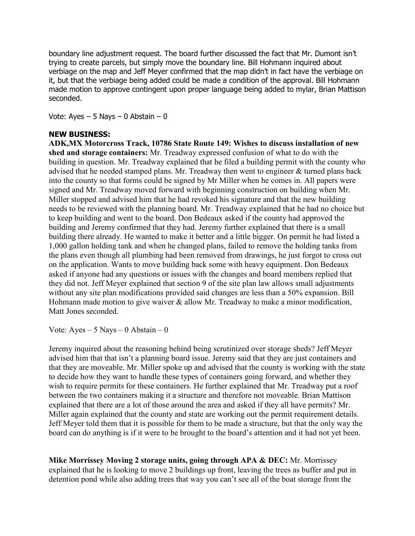boundary line adjustment request. The board further discussed the fact that Mr. Dumont isn't trying to create parcels, but simply move the boundary line. Bill Hohmann inquired about verbiage on the map and Jeff Meyer confirmed that the map didn't in fact have the verbiage on it, but that the verbiage being added could be made a condition of the approval. Bill Hohmann made motion to approve contingent upon proper language being added to mylar, Brian Mattison seconded.

Vote: Ayes  $-5$  Nays  $-0$  Abstain  $-0$ 

## **NEW BUSINESS:**

on the application. Wants to move building back some with heavy equipment. Don Bedeaux **ADK,MX Motorcross Track, 10786 State Route 149: Wishes to discuss installation of new shed and storage containers:** Mr. Treadway expressed confusion of what to do with the building in question. Mr. Treadway explained that he filed a building permit with the county who advised that he needed stamped plans. Mr. Treadway then went to engineer & turned plans back into the county so that forms could be signed by Mr Miller when he comes in. All papers were signed and Mr. Treadway moved forward with beginning construction on building when Mr. Miller stopped and advised him that he had revoked his signature and that the new building needs to be reviewed with the planning board. Mr. Treadway explained that he had no choice but to keep building and went to the board. Don Bedeaux asked if the county had approved the building and Jeremy confirmed that they had. Jeremy further explained that there is a small building there already. He wanted to make it better and a little bigger. On permit he had listed a 1,000 gallon holding tank and when he changed plans, failed to remove the holding tanks from the plans even though all plumbing had been removed from drawings, he just forgot to cross out asked if anyone had any questions or issues with the changes and board members replied that they did not. Jeff Meyer explained that section 9 of the site plan law allows small adjustments without any site plan modifications provided said changes are less than a 50% expansion. Bill Hohmann made motion to give waiver & allow Mr. Treadway to make a minor modification, Matt Jones seconded.

Vote:  $Ayes - 5$  Nays  $-0$  Abstain  $-0$ 

Jeremy inquired about the reasoning behind being scrutinized over storage sheds? Jeff Meyer advised him that that isn't a planning board issue. Jeremy said that they are just containers and that they are moveable. Mr. Miller spoke up and advised that the county is working with the state to decide how they want to handle these types of containers going forward, and whether they wish to require permits for these containers. He further explained that Mr. Treadway put a roof between the two containers making it a structure and therefore not moveable. Brian Mattison explained that there are a lot of those around the area and asked if they all have permits? Mr. Miller again explained that the county and state are working out the permit requirement details. Jeff Meyer told them that it is possible for them to be made a structure, but that the only way the board can do anything is if it were to be brought to the board's attention and it had not yet been.

**Mike Morrissey Moving 2 storage units, going through APA & DEC:** Mr. Morrissey explained that he is looking to move 2 buildings up front, leaving the trees as buffer and put in detention pond while also adding trees that way you can't see all of the boat storage from the